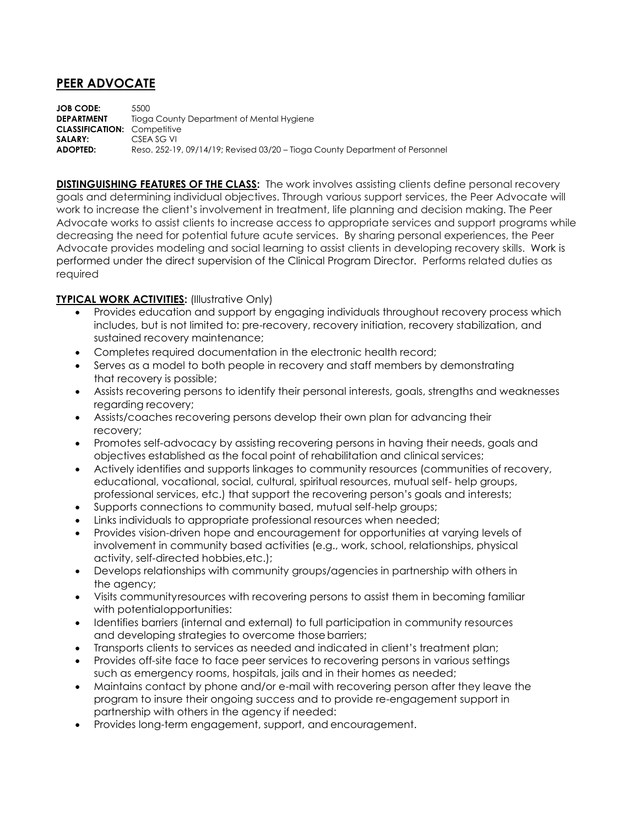## **PEER ADVOCATE**

**JOB CODE:** 5500 **DEPARTMENT** Tioga County Department of Mental Hygiene **CLASSIFICATION:** Competitive **SALARY:** CSEA SG VI **ADOPTED:** Reso. 252-19, 09/14/19; Revised 03/20 – Tioga County Department of Personnel

**DISTINGUISHING FEATURES OF THE CLASS:** The work involves assisting clients define personal recovery goals and determining individual objectives. Through various support services, the Peer Advocate will work to increase the client's involvement in treatment, life planning and decision making. The Peer Advocate works to assist clients to increase access to appropriate services and support programs while decreasing the need for potential future acute services. By sharing personal experiences, the Peer Advocate provides modeling and social learning to assist clients in developing recovery skills. Work is performed under the direct supervision of the Clinical Program Director. Performs related duties as required

## **TYPICAL WORK ACTIVITIES: (Illustrative Only)**

- Provides education and support by engaging individuals throughout recovery process which includes, but is not limited to: pre-recovery, recovery initiation, recovery stabilization, and sustained recovery maintenance;
- Completes required documentation in the electronic health record;
- Serves as a model to both people in recovery and staff members by demonstrating that recovery is possible;
- Assists recovering persons to identify their personal interests, goals, strengths and weaknesses regarding recovery;
- Assists/coaches recovering persons develop their own plan for advancing their recovery;
- Promotes self-advocacy by assisting recovering persons in having their needs, goals and objectives established as the focal point of rehabilitation and clinical services;
- Actively identifies and supports linkages to community resources (communities of recovery, educational, vocational, social, cultural, spiritual resources, mutual self- help groups, professional services, etc.) that support the recovering person's goals and interests;
- Supports connections to community based, mutual self-help groups;
- Links individuals to appropriate professional resources when needed;
- Provides vision-driven hope and encouragement for opportunities at varying levels of involvement in community based activities (e.g., work, school, relationships, physical activity, self-directed hobbies,etc.);
- Develops relationships with community groups/agencies in partnership with others in the agency;
- Visits communityresources with recovering persons to assist them in becoming familiar with potentialopportunities:
- Identifies barriers (internal and external) to full participation in community resources and developing strategies to overcome those barriers;
- Transports clients to services as needed and indicated in client's treatment plan;
- Provides off-site face to face peer services to recovering persons in various settings such as emergency rooms, hospitals, jails and in their homes as needed;
- Maintains contact by phone and/or e-mail with recovering person after they leave the program to insure their ongoing success and to provide re-engagement support in partnership with others in the agency if needed:
- Provides long-term engagement, support, and encouragement.